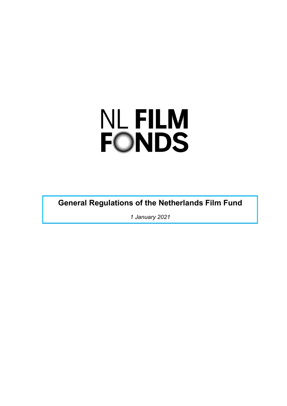# **NL FILM FONDS**

**General Regulations of the Netherlands Film Fund**

*1 January 2021*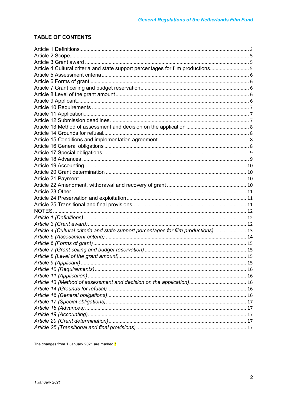# **TABLE OF CONTENTS**

| Article 4 Cultural criteria and state support percentages for film productions 5     |  |
|--------------------------------------------------------------------------------------|--|
|                                                                                      |  |
|                                                                                      |  |
|                                                                                      |  |
|                                                                                      |  |
|                                                                                      |  |
|                                                                                      |  |
|                                                                                      |  |
|                                                                                      |  |
|                                                                                      |  |
|                                                                                      |  |
|                                                                                      |  |
|                                                                                      |  |
|                                                                                      |  |
|                                                                                      |  |
|                                                                                      |  |
|                                                                                      |  |
|                                                                                      |  |
|                                                                                      |  |
|                                                                                      |  |
|                                                                                      |  |
|                                                                                      |  |
|                                                                                      |  |
|                                                                                      |  |
|                                                                                      |  |
| Article 4 (Cultural criteria and state support percentages for film productions)  13 |  |
|                                                                                      |  |
|                                                                                      |  |
|                                                                                      |  |
|                                                                                      |  |
|                                                                                      |  |
|                                                                                      |  |
|                                                                                      |  |
|                                                                                      |  |
|                                                                                      |  |
|                                                                                      |  |
|                                                                                      |  |
|                                                                                      |  |
|                                                                                      |  |
|                                                                                      |  |
|                                                                                      |  |

The changes from 1 January 2021 are marked \*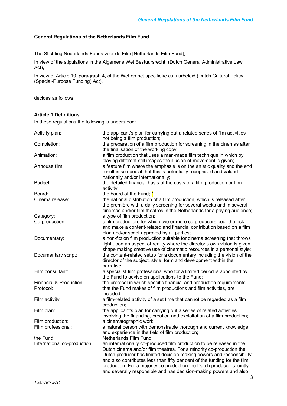# **General Regulations of the Netherlands Film Fund**

The Stichting Nederlands Fonds voor de Film [Netherlands Film Fund],

In view of the stipulations in the Algemene Wet Bestuursrecht, (Dutch General Administrative Law Act),

In view of Article 10, paragraph 4, of the Wet op het specifieke cultuurbeleid (Dutch Cultural Policy (Special-Purpose Funding) Act),

decides as follows:

# **Article 1 Definitions**

In these regulations the following is understood:

| Activity plan:                                 | the applicant's plan for carrying out a related series of film activities<br>not being a film production;                                                                                                                                                                                                                                                                                                                                       |
|------------------------------------------------|-------------------------------------------------------------------------------------------------------------------------------------------------------------------------------------------------------------------------------------------------------------------------------------------------------------------------------------------------------------------------------------------------------------------------------------------------|
| Completion:                                    | the preparation of a film production for screening in the cinemas after<br>the finalisation of the working copy;                                                                                                                                                                                                                                                                                                                                |
| Animation:                                     | a film production that uses a man-made film technique in which by<br>playing different still images the illusion of movement is given;                                                                                                                                                                                                                                                                                                          |
| Arthouse film:                                 | a feature film where the emphasis is on the artistic quality and the end<br>result is so special that this is potentially recognised and valued<br>nationally and/or internationally;                                                                                                                                                                                                                                                           |
| Budget:                                        | the detailed financial basis of the costs of a film production or film<br>activity;                                                                                                                                                                                                                                                                                                                                                             |
| Board:                                         | the board of the Fund; $*$                                                                                                                                                                                                                                                                                                                                                                                                                      |
| Cinema release:                                | the national distribution of a film production, which is released after<br>the première with a daily screening for several weeks and in several<br>cinemas and/or film theatres in the Netherlands for a paying audience;                                                                                                                                                                                                                       |
| Category:                                      | a type of film production;                                                                                                                                                                                                                                                                                                                                                                                                                      |
| Co-production:                                 | a film production, for which two or more co-producers bear the risk<br>and make a content-related and financial contribution based on a film<br>plan and/or script approved by all parties;                                                                                                                                                                                                                                                     |
| Documentary:                                   | a non-fiction film production suitable for cinema screening that throws<br>light upon an aspect of reality where the director's own vision is given<br>shape making creative use of cinematic resources in a personal style;                                                                                                                                                                                                                    |
| Documentary script:                            | the content-related setup for a documentary including the vision of the<br>director of the subject, style, form and development within the<br>narrative;                                                                                                                                                                                                                                                                                        |
| Film consultant:                               | a specialist film professional who for a limited period is appointed by<br>the Fund to advise on applications to the Fund;                                                                                                                                                                                                                                                                                                                      |
| <b>Financial &amp; Production</b><br>Protocol: | the protocol in which specific financial and production requirements<br>that the Fund makes of film productions and film activities, are<br>included;                                                                                                                                                                                                                                                                                           |
| Film activity:                                 | a film-related activity of a set time that cannot be regarded as a film<br>production;                                                                                                                                                                                                                                                                                                                                                          |
| Film plan:                                     | the applicant's plan for carrying out a series of related activities<br>involving the financing, creation and exploitation of a film production;                                                                                                                                                                                                                                                                                                |
| Film production:                               | a cinematographic work;                                                                                                                                                                                                                                                                                                                                                                                                                         |
| Film professional:                             | a natural person with demonstrable thorough and current knowledge<br>and experience in the field of film production;                                                                                                                                                                                                                                                                                                                            |
| the Fund:                                      | Netherlands Film Fund;                                                                                                                                                                                                                                                                                                                                                                                                                          |
| International co-production:                   | an internationally co-produced film production to be released in the<br>Dutch cinema and/or film theatres. For a minority co-production the<br>Dutch producer has limited decision-making powers and responsibility<br>and also contributes less than fifty per cent of the funding for the film<br>production. For a majority co-production the Dutch producer is jointly<br>and severally responsible and has decision-making powers and also |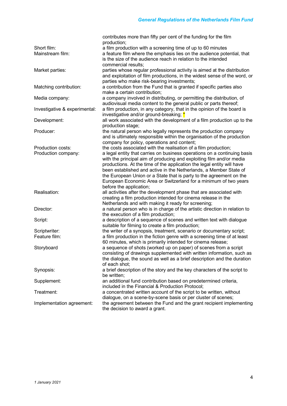|                               | contributes more than fifty per cent of the funding for the film<br>production; |
|-------------------------------|---------------------------------------------------------------------------------|
| Short film:                   | a film production with a screening time of up to 60 minutes                     |
| Mainstream film:              | a feature film where the emphasis lies on the audience potential, that          |
|                               | is the size of the audience reach in relation to the intended                   |
|                               | commercial results;                                                             |
| Market parties:               | parties whose regular professional activity is aimed at the distribution        |
|                               | and exploitation of film productions, in the widest sense of the word, or       |
|                               | parties who make risk-bearing investments;                                      |
| Matching contribution:        | a contribution from the Fund that is granted if specific parties also           |
|                               | make a certain contribution;                                                    |
| Media company:                | a company involved in distributing, or permitting the distribution, of          |
|                               | audiovisual media content to the general public or parts thereof;               |
| Investigative & experimental: | a film production, in any category, that in the opinion of the board is         |
|                               | investigative and/or ground-breaking; *                                         |
| Development:                  | all work associated with the development of a film production up to the         |
|                               | production stage;                                                               |
| Producer:                     | the natural person who legally represents the production company                |
|                               | and is ultimately responsible within the organisation of the production         |
|                               | company for policy, operations and content;                                     |
| Production costs:             | the costs associated with the realisation of a film production;                 |
| Production company:           | a legal entity that carries on business operations on a continuing basis        |
|                               | with the principal aim of producing and exploiting film and/or media            |
|                               | productions. At the time of the application the legal entity will have          |
|                               | been established and active in the Netherlands, a Member State of               |
|                               | the European Union or a State that is party to the agreement on the             |
|                               | European Economic Area or Switzerland for a minimum of two years                |
|                               | before the application;                                                         |
| Realisation:                  | all activities after the development phase that are associated with             |
|                               | creating a film production intended for cinema release in the                   |
|                               | Netherlands and with making it ready for screening;                             |
| Director:                     | a natural person who is in charge of the artistic direction in relation to      |
|                               | the execution of a film production;                                             |
| Script:                       | a description of a sequence of scenes and written text with dialogue            |
|                               | suitable for filming to create a film production;                               |
| Scriptwriter:                 | the writer of a synopsis, treatment, scenario or documentary script;            |
| Feature film:                 | a film production in the fiction genre with a screening time of at least        |
|                               | 60 minutes, which is primarily intended for cinema release;                     |
| Storyboard                    | a sequence of shots (worked up on paper) of scenes from a script                |
|                               | consisting of drawings supplemented with written information, such as           |
|                               | the dialogue, the sound as well as a brief description and the duration         |
|                               | of each shot;                                                                   |
| Synopsis:                     | a brief description of the story and the key characters of the script to        |
|                               | be written;                                                                     |
| Supplement:                   | an additional fund contribution based on predetermined criteria,                |
|                               | included in the Financial & Production Protocol;                                |
| Treatment:                    | a concentrated written account of the script to be written, without             |
|                               | dialogue, on a scene-by-scene basis or per cluster of scenes;                   |
| Implementation agreement:     | the agreement between the Fund and the grant recipient implementing             |
|                               | the decision to award a grant.                                                  |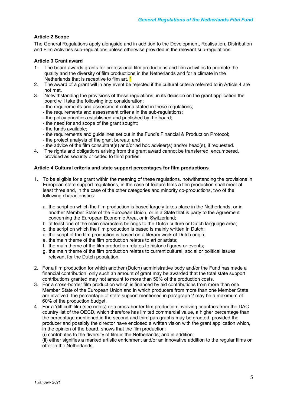# **Article 2 Scope**

The General Regulations apply alongside and in addition to the Development, Realisation, Distribution and Film Activities sub-regulations unless otherwise provided in the relevant sub-regulations.

# **Article 3 Grant award**

- 1. The board awards grants for professional film productions and film activities to promote the quality and the diversity of film productions in the Netherlands and for a climate in the Netherlands that is receptive to film art. \*
- 2. The award of a grant will in any event be rejected if the cultural criteria referred to in Article 4 are not met.
- 3. Notwithstanding the provisions of these regulations, in its decision on the grant application the board will take the following into consideration:
	- the requirements and assessment criteria stated in these regulations;
	- the requirements and assessment criteria in the sub-regulations;
	- the policy priorities established and published by the board;
	- the need for and scope of the grant sought;
	- the funds available;
	- the requirements and guidelines set out in the Fund's Financial & Production Protocol;
	- the project analysis of the grant bureau; and
	- the advice of the film consultant(s) and/or ad hoc adviser(s) and/or head(s), if requested.
- 4. The rights and obligations arising from the grant award cannot be transferred, encumbered, provided as security or ceded to third parties.

# **Article 4 Cultural criteria and state support percentages for film productions**

- 1. To be eligible for a grant within the meaning of these regulations, notwithstanding the provisions in European state support regulations, in the case of feature films a film production shall meet at least three and, in the case of the other categories and minority co-productions, two of the following characteristics:
	- a. the script on which the film production is based largely takes place in the Netherlands, or in another Member State of the European Union, or in a State that is party to the Agreement concerning the European Economic Area, or in Switzerland;
	- b. at least one of the main characters belongs to the Dutch culture or Dutch language area;
	- c. the script on which the film production is based is mainly written in Dutch;
	- d. the script of the film production is based on a literary work of Dutch origin;
	- e. the main theme of the film production relates to art or artists;
	- f. the main theme of the film production relates to historic figures or events;
	- g. the main theme of the film production relates to current cultural, social or political issues relevant for the Dutch population.
- 2. For a film production for which another (Dutch) administrative body and/or the Fund has made a financial contribution, only such an amount of grant may be awarded that the total state support contributions granted may not amount to more than 50% of the production costs.
- 3. For a cross-border film production which is financed by aid contributions from more than one Member State of the European Union and in which producers from more than one Member State are involved, the percentage of state support mentioned in paragraph 2 may be a maximum of 60% of the production budget.
- 4. For a 'difficult' film (see notes) or a cross-border film production involving countries from the DAC country list of the OECD, which therefore has limited commercial value, a higher percentage than the percentage mentioned in the second and third paragraphs may be granted, provided the producer and possibly the director have enclosed a written vision with the grant application which, in the opinion of the board, shows that the film production:
	- (i) contributes to the diversity of film in the Netherlands; and in addition:

(ii) either signifies a marked artistic enrichment and/or an innovative addition to the regular films on offer in the Netherlands.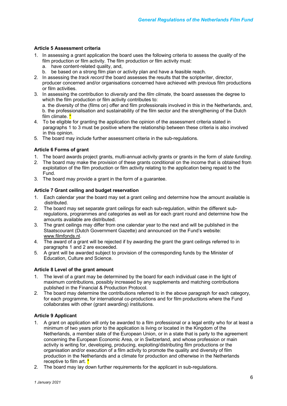# **Article 5 Assessment criteria**

- 1. In assessing a grant application the board uses the following criteria to assess the *quality* of the film production or film activity. The film production or film activity must:
	- a. have content-related quality, and,
	- b. be based on a strong film plan or activity plan and have a feasible reach.
- 2. In assessing the *track record* the board assesses the results that the scriptwriter, director, producer concerned and/or organisations concerned have achieved with previous film productions or film activities.
- 3. In assessing the contribution to *diversity* and the *film climate*, the board assesses the degree to which the film production or film activity contributes to:

a. the diversity of the (films on) offer and film professionals involved in this in the Netherlands, and, b. the professionalisation and sustainability of the film sector and the strengthening of the Dutch film climate. \*

- 4. To be eligible for granting the application the opinion of the assessment criteria stated in paragraphs 1 to 3 must be positive where the relationship between these criteria is also involved in this opinion.
- 5. The board may include further assessment criteria in the sub-regulations.

# **Article 6 Forms of grant**

- 1. The board awards project grants, multi-annual activity grants or grants in the form of *slate funding*.
- 2. The board may make the provision of these grants conditional on the income that is obtained from exploitation of the film production or film activity relating to the application being repaid to the Fund.
- 3. The board may provide a grant in the form of a guarantee.

# **Article 7 Grant ceiling and budget reservation**

- 1. Each calendar year the board may set a grant ceiling and determine how the amount available is distributed.
- 2. The board may set separate grant ceilings for each sub-regulation, within the different subregulations, programmes and categories as well as for each grant round and determine how the amounts available are distributed.
- 3. The grant ceilings may differ from one calendar year to the next and will be published in the Staatscourant (Dutch Government Gazette) and announced on the Fund's website: www.filmfonds.nl.
- 4. The award of a grant will be rejected if by awarding the grant the grant ceilings referred to in paragraphs 1 and 2 are exceeded.
- 5. A grant will be awarded subject to provision of the corresponding funds by the Minister of Education, Culture and Science.

# **Article 8 Level of the grant amount**

- 1. The level of a grant may be determined by the board for each individual case in the light of maximum contributions, possibly increased by any supplements and matching contributions published in the Financial & Production Protocol.
- 2. The board may determine the contributions referred to in the above paragraph for each category, for each programme, for international co-productions and for film productions where the Fund collaborates with other (grant awarding) institutions.

# **Article 9 Applicant**

- 1. A grant on application will only be awarded to a film professional or a legal entity who for at least a minimum of two years prior to the application is living or located in the Kingdom of the Netherlands, a member state of the European Union, or in a state that is party to the agreement concerning the European Economic Area, or in Switzerland, and whose profession or main activity is writing for, developing, producing, exploiting/distributing film productions or the organisation and/or execution of a film activity to promote the quality and diversity of film production in the Netherlands and a climate for production and otherwise in the Netherlands receptive to film art. <sup>\*</sup>
- 2. The board may lay down further requirements for the applicant in sub-regulations.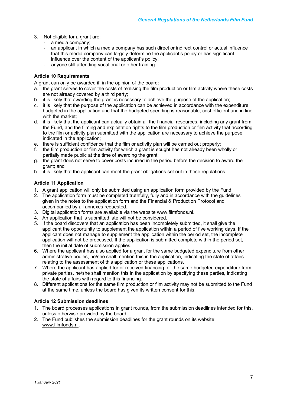- 3. Not eligible for a grant are:
	- a media company;
	- an applicant in which a media company has such direct or indirect control or actual influence that this media company can largely determine the applicant's policy or has significant influence over the content of the applicant's policy;
	- anyone still attending vocational or other training.

# **Article 10 Requirements**

A grant can only be awarded if, in the opinion of the board:

- a. the grant serves to cover the costs of realising the film production or film activity where these costs are not already covered by a third party;
- b. it is likely that awarding the grant is necessary to achieve the purpose of the application;
- c. it is likely that the purpose of the application can be achieved in accordance with the expenditure budgeted in the application and that the budgeted spending is reasonable, cost efficient and in line with the market:
- d. it is likely that the applicant can actually obtain all the financial resources, including any grant from the Fund, and the filming and exploitation rights to the film production or film activity that according to the film or activity plan submitted with the application are necessary to achieve the purpose indicated in the application;
- e. there is sufficient confidence that the film or activity plan will be carried out properly;
- f. the film production or film activity for which a grant is sought has not already been wholly or partially made public at the time of awarding the grant;
- g. the grant does not serve to cover costs incurred in the period before the decision to award the grant; and
- h. it is likely that the applicant can meet the grant obligations set out in these regulations.

# **Article 11 Application**

- 1. A grant application will only be submitted using an application form provided by the Fund.
- 2. The application form must be completed truthfully, fully and in accordance with the guidelines given in the notes to the application form and the Financial & Production Protocol and accompanied by all annexes requested.
- 3. Digital application forms are available via the website www.filmfonds.nl.
- 4. An application that is submitted late will not be considered.
- 5. If the board discovers that an application has been incompletely submitted, it shall give the applicant the opportunity to supplement the application within a period of five working days. If the applicant does not manage to supplement the application within the period set, the incomplete application will not be processed. If the application is submitted complete within the period set, then the initial date of submission applies.
- 6. Where the applicant has also applied for a grant for the same budgeted expenditure from other administrative bodies, he/she shall mention this in the application, indicating the state of affairs relating to the assessment of this application or these applications.
- 7. Where the applicant has applied for or received financing for the same budgeted expenditure from private parties, he/she shall mention this in the application by specifying these parties, indicating the state of affairs with regard to this financing.
- 8. Different applications for the same film production or film activity may not be submitted to the Fund at the same time, unless the board has given its written consent for this.

# **Article 12 Submission deadlines**

- 1. The board processes applications in grant rounds, from the submission deadlines intended for this, unless otherwise provided by the board.
- 2. The Fund publishes the submission deadlines for the grant rounds on its website: www.filmfonds.nl.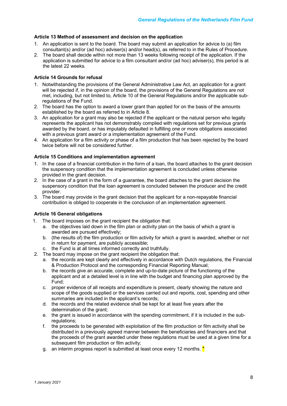# **Article 13 Method of assessment and decision on the application**

- 1. An application is sent to the board. The board may submit an application for advice to (a) film consultant(s) and/or (ad hoc) adviser(s) and/or head(s), as referred to in the Rules of Procedure.
- 2. The board shall decide within not more than 13 weeks following receipt of the application. If the application is submitted for advice to a film consultant and/or (ad hoc) adviser(s), this period is at the latest 22 weeks.

# **Article 14 Grounds for refusal**

- 1. Notwithstanding the provisions of the General Administrative Law Act, an application for a grant will be rejected if, in the opinion of the board, the provisions of the General Regulations are not met, including, but not limited to, Article 10 of the General Regulations and/or the applicable subregulations of the Fund.
- 2. The board has the option to award a lower grant than applied for on the basis of the amounts established by the board as referred to in Article 8.
- 3. An application for a grant may also be rejected if the applicant or the natural person who legally represents the applicant has not demonstrably complied with regulations set for previous grants awarded by the board, or has imputably defaulted in fulfilling one or more obligations associated with a previous grant award or a implementation agreement of the Fund.
- 4. An application for a film activity or phase of a film production that has been rejected by the board twice before will not be considered further.

# **Article 15 Conditions and implementation agreement**

- 1. In the case of a financial contribution in the form of a loan, the board attaches to the grant decision the suspensory condition that the implementation agreement is concluded unless otherwise provided in the grant decision.
- 2. In the case of a grant in the form of a guarantee, the board attaches to the grant decision the suspensory condition that the loan agreement is concluded between the producer and the credit provider.
- 3. The board may provide in the grant decision that the applicant for a non-repayable financial contribution is obliged to cooperate in the conclusion of an implementation agreement.

### **Article 16 General obligations**

- 1. The board imposes on the grant recipient the obligation that:
	- a. the objectives laid down in the film plan or activity plan on the basis of which a grant is awarded are pursued effectively;
	- b. (the results of) the film production or film activity for which a grant is awarded, whether or not in return for payment, are publicly accessible;
	- c. the Fund is at all times informed correctly and truthfully.
- 2. The board may impose on the grant recipient the obligation that:
	- a. the records are kept clearly and effectively in accordance with Dutch regulations, the Financial & Production Protocol and the corresponding Financial Reporting Manual;
	- b. the records give an accurate, complete and up-to-date picture of the functioning of the applicant and at a detailed level is in line with the budget and financing plan approved by the Fund;
	- c. proper evidence of all receipts and expenditure is present, clearly showing the nature and scope of the goods supplied or the services carried out and reports, cost, spending and other summaries are included in the applicant's records;
	- d. the records and the related evidence shall be kept for at least five years after the determination of the grant:
	- e. the grant is issued in accordance with the spending commitment, if it is included in the subregulations:
	- f. the proceeds to be generated with exploitation of the film production or film activity shall be distributed in a previously agreed manner between the beneficiaries and financiers and that the proceeds of the grant awarded under these regulations must be used at a given time for a subsequent film production or film activity;
	- g. an interim progress report is submitted at least once every 12 months.  $*$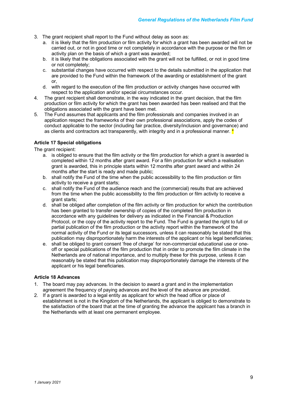- 3. The grant recipient shall report to the Fund without delay as soon as:
	- a. it is likely that the film production or film activity for which a grant has been awarded will not be carried out, or not in good time or not completely in accordance with the purpose or the film or activity plan on the basis of which a grant was awarded;
	- b. it is likely that the obligations associated with the grant will not be fulfilled, or not in good time or not completely;
	- c. substantial changes have occurred with respect to the details submitted in the application that are provided to the Fund within the framework of the awarding or establishment of the grant or,
	- d. with regard to the execution of the film production or activity changes have occurred with respect to the application and/or special circumstances occur.
- 4. The grant recipient shall demonstrate, in the way indicated in the grant decision, that the film production or film activity for which the grant has been awarded has been realised and that the obligations associated with the grant have been met.
- 5. The Fund assumes that applicants and the film professionals and companies involved in an application respect the frameworks of their own professional associations, apply the codes of conduct applicable to the sector (including fair practice, diversity/inclusion and governance) and as clients and contractors act transparently, with integrity and in a professional manner.  $\star$

# **Article 17 Special obligations**

The grant recipient:

- a. is obliged to ensure that the film activity or the film production for which a grant is awarded is completed within 12 months after grant award. For a film production for which a realisation grant is awarded, this in principle starts within 12 months after grant award and within 24 months after the start is ready and made public;
- b. shall notify the Fund of the time when the public accessibility to the film production or film activity to receive a grant starts;
- c. shall notify the Fund of the audience reach and the (commercial) results that are achieved from the time when the public accessibility to the film production or film activity to receive a grant starts;
- d. shall be obliged after completion of the film activity or film production for which the contribution has been granted to transfer ownership of copies of the completed film production in accordance with any guidelines for delivery as indicated in the Financial & Production Protocol, or the copy of the activity report to the Fund. The Fund is granted the right to full or partial publication of the film production or the activity report within the framework of the normal activity of the Fund or its legal successors, unless it can reasonably be stated that this publication may disproportionately harm the interests of the applicant or his legal beneficiaries;
- e. shall be obliged to grant consent 'free of charge' for non-commercial educational use or oneoff or special publications of the film production that in order to promote the film climate in the Netherlands are of national importance, and to multiply these for this purpose, unless it can reasonably be stated that this publication may disproportionately damage the interests of the applicant or his legal beneficiaries.

### **Article 18 Advances**

- 1. The board may pay advances. In the decision to award a grant and in the implementation agreement the frequency of paying advances and the level of the advance are provided.
- 2. If a grant is awarded to a legal entity as applicant for which the head office or place of establishment is not in the Kingdom of the Netherlands, the applicant is obliged to demonstrate to the satisfaction of the board that at the time of granting the advance the applicant has a branch in the Netherlands with at least one permanent employee.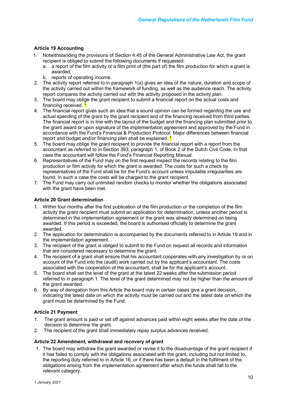# **Article 19 Accounting**

- 1. Notwithstanding the provisions of Section 4:45 of the General Administrative Law Act, the grant recipient is obliged to submit the following documents if requested:
	- a. a report of the film activity or a film print of (the part of) the film production for which a grant is awarded;
	- b. reports of operating income.
- 2. The activity report referred to in paragraph 1(a) gives an idea of the nature, duration and scope of the activity carried out within the framework of funding, as well as the audience reach. The activity report compares the activity carried out with the activity proposed in the activity plan.
- 3. The board may oblige the grant recipient to submit a financial report on the actual costs and financing received.
- 4. The financial report gives such an idea that a sound opinion can be formed regarding the use and actual spending of the grant by the grant recipient and of the financing received from third parties. The financial report is in line with the layout of the budget and the financing plan submitted prior to the grant award or upon signature of the implementation agreement and approved by the Fund in accordance with the Fund's Financial & Production Protocol. Major differences between financial report and budget and/or financing plan shall be explained. \*
- 5. The board may oblige the grant recipient to provide the financial report with a report from the accountant as referred to in Section 393, paragraph 1, of Book 2 of the Dutch Civil Code. In that case the accountant will follow the Fund's Financial Reporting Manual.
- 6. Representatives of the Fund may on the first request inspect the records relating to the film production or film activity for which the grant is awarded. The costs for such a check by representatives of the Fund shall be for the Fund's account unless imputable irregularities are found. In such a case the costs will be charged to the grant recipient.
- 7. The Fund may carry out unlimited random checks to monitor whether the obligations associated with the grant have been met.

# **Article 20 Grant determination**

- 1. Within four months after the first publication of the film production or the completion of the film activity the grant recipient must submit an application for determination, unless another period is determined in the implementation agreement or the grant was already determined on being awarded. If this period is exceeded, the board is authorised officially to determine the grant awarded.
- 2. The application for determination is accompanied by the documents referred to in Article 19 and in the implementation agreement.
- 3. The recipient of the grant is obliged to submit to the Fund on request all records and information that are considered necessary to determine the grant.
- 4. The recipient of a grant shall ensure that his accountant cooperates with any investigation by or on account of the Fund into the (audit) work carried out by the applicant's accountant. The costs associated with the cooperation of the accountant, shall be for the applicant's account.
- 5. The board shall set the level of the grant at the latest 22 weeks after the submission period referred to in paragraph 1. The level of the grant determined may not be higher than the amount of the grant awarded.
- 6. By way of derogation from this Article the board may in certain cases give a grant decision, indicating the latest date on which the activity must be carried out and the latest date on which the grant must be determined by the Fund.

### **Article 21 Payment**

- 1. The grant amount is paid or set off against advances paid within eight weeks after the date of the decision to determine the grant.
- 2. The recipient of the grant shall immediately repay surplus advances received.

### **Article 22 Amendment, withdrawal and recovery of grant**

1. The board may withdraw the grant awarded or revise it to the disadvantage of the grant recipient if it has failed to comply with the obligations associated with the grant, including but not limited to, the reporting duty referred to in Article 16, or if there has been a default in the fulfilment of the obligations arising from the implementation agreement after which the funds shall fall to the relevant category.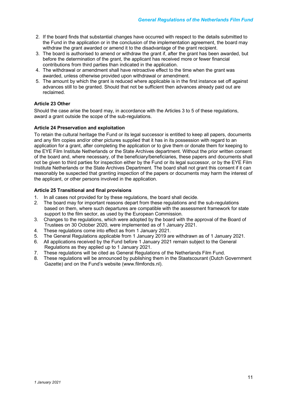- 2. If the board finds that substantial changes have occurred with respect to the details submitted to the Fund in the application or in the conclusion of the implementation agreement, the board may withdraw the grant awarded or amend it to the disadvantage of the grant recipient.
- 3. The board is authorised to amend or withdraw the grant if, after the grant has been awarded, but before the determination of the grant, the applicant has received more or fewer financial contributions from third parties than indicated in the application.
- 4. The withdrawal or amendment shall have retroactive effect to the time when the grant was awarded, unless otherwise provided upon withdrawal or amendment.
- 5. The amount by which the grant is reduced where applicable is in the first instance set off against advances still to be granted. Should that not be sufficient then advances already paid out are reclaimed.

# **Article 23 Other**

Should the case arise the board may, in accordance with the Articles 3 to 5 of these regulations, award a grant outside the scope of the sub-regulations.

# **Article 24 Preservation and exploitation**

To retain the cultural heritage the Fund or its legal successor is entitled to keep all papers, documents and any film copies and/or other pictures supplied that it has in its possession with regard to an application for a grant, after completing the application or to give them or donate them for keeping to the EYE Film Institute Netherlands or the State Archives department. Without the prior written consent of the board and, where necessary, of the beneficiary/beneficiaries, these papers and documents shall not be given to third parties for inspection either by the Fund or its legal successor, or by the EYE Film Institute Netherlands or the State Archives Department. The board shall not grant this consent if it can reasonably be suspected that granting inspection of the papers or documents may harm the interest of the applicant, or other persons involved in the application.

# **Article 25 Transitional and final provisions**

- 1. In all cases not provided for by these regulations, the board shall decide.
- 2. The board may for important reasons depart from these regulations and the sub-regulations based on them, where such departures are compatible with the assessment framework for state support to the film sector, as used by the European Commission.
- 3. Changes to the regulations, which were adopted by the board with the approval of the Board of Trustees on 30 October 2020, were implemented as of 1 January 2021.
- 4. These regulations come into effect as from 1 January 2021.
- 5. The General Regulations applicable from 1 January 2019 are withdrawn as of 1 January 2021.
- 6. All applications received by the Fund before 1 January 2021 remain subject to the General Regulations as they applied up to 1 January 2021.
- 7. These regulations will be cited as General Regulations of the Netherlands Film Fund.
- 8. These regulations will be announced by publishing them in the Staatscourant (Dutch Government Gazette) and on the Fund's website (www.filmfonds.nl).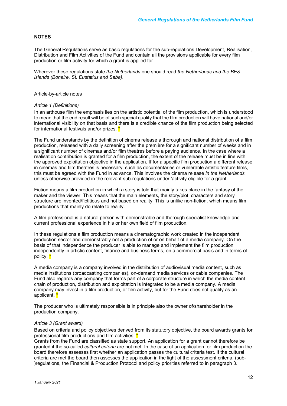### **NOTES**

The General Regulations serve as basic regulations for the sub-regulations Development, Realisation, Distribution and Film Activities of the Fund and contain all the provisions applicable for every film production or film activity for which a grant is applied for.

Wherever these regulations state *the Netherlands* one should read *the Netherlands and the BES islands (Bonaire, St. Eustatius and Saba)*.

### Article-by-article notes

### *Article 1 (Definitions)*

In an arthouse film the emphasis lies on the artistic potential of the film production, which is understood to mean that the end result will be of such special quality that the film production will have national and/or international visibility on that basis and there is a credible chance of the film production being selected for international festivals and/or prizes. \*

The Fund understands by the definition of cinema release a thorough and national distribution of a film production, released with a daily screening after the première for a significant number of weeks and in a significant number of cinemas and/or film theatres before a paying audience. In the case where a realisation contribution is granted for a film production, the extent of the release must be in line with the approved exploitation objective in the application. If for a specific film production a different release in cinemas and film theatres is necessary, such as documentaries or vulnerable artistic feature films, this must be agreed with the Fund in advance. This involves the cinema release *in the Netherlands* unless otherwise provided in the relevant sub-regulations under 'activity eligible for a grant'.

Fiction means a film production in which a story is told that mainly takes place in the fantasy of the maker and the viewer. This means that the main elements, the story/plot, characters and story structure are invented/fictitious and not based on reality. This is unlike non-fiction, which means film productions that mainly do relate to reality.

A film professional is a natural person with demonstrable and thorough specialist knowledge and current professional experience in his or her own field of film production.

In these regulations a film production means a cinematographic work created in the independent production sector and demonstrably not a production of or on behalf of a media company. On the basis of that independence the producer is able to manage and implement the film production independently in artistic content, finance and business terms, on a commercial basis and in terms of policy. \*

A media company is a company involved in the distribution of audiovisual media content, such as media institutions (broadcasting companies), on-demand media services or cable companies. The Fund also regards any company that forms part of a corporate structure in which the media content chain of production, distribution and exploitation is integrated to be a media company. A media company may invest in a film production, or film activity, but for the Fund does not qualify as an applicant. \*

The producer who is ultimately responsible is in principle also the owner of/shareholder in the production company.

### *Article 3 (Grant award)*

Based on criteria and policy objectives derived from its statutory objective, the board awards grants for professional film productions and film activities. \*

Grants from the Fund are classified as state support. An application for a grant cannot therefore be granted if the so-called *cultural criteria* are not met. In the case of an application for film production the board therefore assesses first whether an application passes the cultural criteria test. If the cultural criteria are met the board then assesses the application in the light of the assessment criteria, (sub- )regulations, the Financial & Production Protocol and policy priorities referred to in paragraph 3.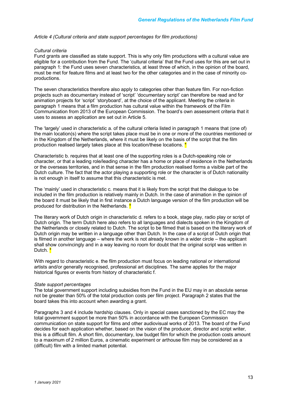*Article 4 (Cultural criteria and state support percentages for film productions)*

### *Cultural criteria*

Fund grants are classified as state support. This is why only film productions with a cultural value are eligible for a contribution from the Fund. The 'cultural criteria' that the Fund uses for this are set out in paragraph 1: the Fund uses seven characteristics, at least three of which, in the opinion of the board, must be met for feature films and at least two for the other categories and in the case of minority coproductions.

The seven characteristics therefore also apply to categories other than feature film. For non-fiction projects such as documentary instead of 'script' 'documentary script' can therefore be read and for animation projects for 'script' 'storyboard', at the choice of the applicant. Meeting the criteria in paragraph 1 means that a film production has cultural value within the framework of the Film Communication from 2013 of the European Commission. The board's own assessment criteria that it uses to assess an application are set out in Article 5.

The 'largely' used in characteristic a. of the cultural criteria listed in paragraph 1 means that (one of) the main location(s) where the script takes place must be in one or more of the countries mentioned or in the Kingdom of the Netherlands, where it must be likely on the basis of the script that the film production realised largely takes place at this location/these locations.  $*$ 

Characteristic b. requires that at least one of the supporting roles is a Dutch-speaking role or character, or that a leading role/leading character has a home or place of residence in the Netherlands or the overseas territories, and in that sense in the film production realised forms a visible part of the Dutch culture. The fact that the actor playing a supporting role or the character is of Dutch nationality is not enough in itself to assume that this characteristic is met.

The 'mainly' used in characteristic c. means that it is likely from the script that the dialogue to be included in the film production is relatively mainly in Dutch. In the case of animation in the opinion of the board it must be likely that in first instance a Dutch language version of the film production will be produced for distribution in the Netherlands. \*

The literary work of Dutch origin in characteristic d. refers to a book, stage play, radio play or script of Dutch origin. The term Dutch here also refers to all languages and dialects spoken in the Kingdom of the Netherlands or closely related to Dutch. The script to be filmed that is based on the literary work of Dutch origin may be written in a language other than Dutch. In the case of a script of Dutch origin that is filmed in another language – where the work is not already known in a wider circle – the applicant shall show convincingly and in a way leaving no room for doubt that the original script was written in Dutch. \*

With regard to characteristic e. the film production must focus on leading national or international artists and/or generally recognised, professional art disciplines. The same applies for the major historical figures or events from history of characteristic f.

### *State support percentages*

The total government support including subsidies from the Fund in the EU may in an absolute sense not be greater than 50% of the total production costs per film project. Paragraph 2 states that the board takes this into account when awarding a grant.

Paragraphs 3 and 4 include hardship clauses. Only in special cases sanctioned by the EC may the total government support be more than 50% in accordance with the European Commission communication on state support for films and other audiovisual works of 2013. The board of the Fund decides for each application whether, based on the vision of the producer, director and script writer, this is a difficult film. A short film, documentary, low budget film for which the production costs amount to a maximum of 2 million Euros, a cinematic experiment or arthouse film may be considered as a (difficult) film with a limited market potential.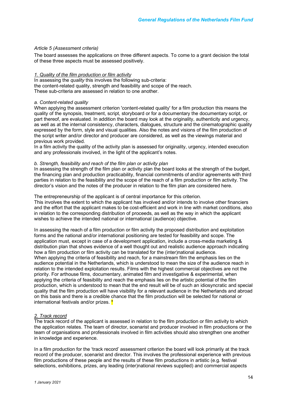### *Article 5 (Assessment criteria)*

The board assesses the applications on three different aspects. To come to a grant decision the total of these three aspects must be assessed positively.

### *1. Quality of the film production or film activity*

In assessing the *quality* this involves the following sub-criteria: the content-related quality, strength and feasibility and scope of the reach. These sub-criteria are assessed in relation to one another.

### *a. Content-related quality*

When applying the assessment criterion 'content-related quality' for a film production this means the quality of the synopsis, treatment, script, storyboard or for a documentary the documentary script, or part thereof, are evaluated. In addition the board may look at the originality, authenticity and urgency, as well as at the internal consistency, characters, dialogues, structure and the cinematographic quality expressed by the form, style and visual qualities. Also the notes and visions of the film production of the script writer and/or director and producer are considered, as well as the viewings material and previous work provided.

In a film activity the quality of the activity plan is assessed for originality, urgency, intended execution and any professionals involved, in the light of the applicant's notes.

### *b. Strength, feasibility and reach of the film plan or activity plan*

In assessing the strength of the film plan or activity plan the board looks at the strength of the budget, the financing plan and production practicability, financial commitments of and/or agreements with third parties in relation to the feasibility and the scope of the reach of a film production or film activity. The director's vision and the notes of the producer in relation to the film plan are considered here.

The entrepreneurship of the applicant is of central importance for this criterion.

This involves the extent to which the applicant has involved and/or intends to involve other financiers and the effort that the applicant makes to be cost-efficient and work in line with market conditions, also in relation to the corresponding distribution of proceeds, as well as the way in which the applicant wishes to achieve the intended national or international (audience) objective.

In assessing the reach of a film production or film activity the proposed distribution and exploitation forms and the national and/or international positioning are tested for feasibility and scope. The application must, except in case of a development application, include a cross-media marketing & distribution plan that shows evidence of a well thought out and realistic audience approach indicating how a film production or film activity can be translated for the (inter)national audience. When applying the criteria of feasibility and reach, for a mainstream film the emphasis lies on the audience potential in the Netherlands, which is understood to mean the size of the audience reach in relation to the intended exploitation results. Films with the highest commercial objectives are not the priority. For arthouse films, documentary, animated film and investigative & experimental, when applying the criteria of feasibility and reach the emphasis lies on the artistic potential of the film production, which is understood to mean that the end result will be of such an idiosyncratic and special quality that the film production will have visibility for a relevant audience in the Netherlands and abroad on this basis and there is a credible chance that the film production will be selected for national or international festivals and/or prizes. \*

### *2. Track record*

The track record of the applicant is assessed in relation to the film production or film activity to which the application relates. The team of director, scenarist and producer involved in film productions or the team of organisations and professionals involved in film activities should also strengthen one another in knowledge and experience.

In a film production for the 'track record' assessment criterion the board will look primarily at the track record of the producer, scenarist and director. This involves the professional experience with previous film productions of these people and the results of these film productions in artistic (e.g. festival selections, exhibitions, prizes, any leading (inter)national reviews supplied) and commercial aspects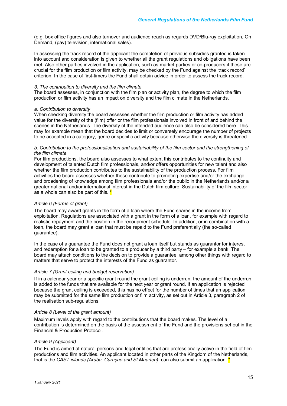(e.g. box office figures and also turnover and audience reach as regards DVD/Blu-ray exploitation, On Demand, (pay) television, international sales).

In assessing the track record of the applicant the completion of previous subsidies granted is taken into account and consideration is given to whether all the grant regulations and obligations have been met. Also other parties involved in the application, such as market parties or co-producers if these are crucial for the film production or film activity, may be checked by the Fund against the 'track record' criterion. In the case of first-timers the Fund shall obtain advice in order to assess the track record.

### *3. The contribution to diversity and the film climate*

The board assesses, in conjunction with the film plan or activity plan, the degree to which the film production or film activity has an impact on diversity and the film climate in the Netherlands.

### *a. Contribution to diversity*

When checking diversity the board assesses whether the film production or film activity has added value for the diversity of the (film) offer or the film professionals involved in front of and behind the scenes in the Netherlands. The diversity of the intended audience can also be considered here. This may for example mean that the board decides to limit or conversely encourage the number of projects to be accepted in a category, genre or specific activity because otherwise the diversity is threatened.

### *b. Contribution to the professionalisation and sustainability of the film sector and the strengthening of the film climate*

For film productions, the board also assesses to what extent this contributes to the continuity and development of talented Dutch film professionals, and/or offers opportunities for new talent and also whether the film production contributes to the sustainability of the production process. For film activities the board assesses whether these contribute to promoting expertise and/or the exchange and broadening of knowledge among film professionals and/or the public in the Netherlands and/or a greater national and/or international interest in the Dutch film culture. Sustainability of the film sector as a whole can also be part of this. \*

# *Article 6 (Forms of grant)*

The board may award grants in the form of a loan where the Fund shares in the income from exploitation. Regulations are associated with a grant in the form of a loan, for example with regard to realistic repayment and the position in the recoupment schedule. In addition, or in combination with a loan, the board may grant a loan that must be repaid to the Fund preferentially (the so-called guarantee).

In the case of a guarantee the Fund does not grant a loan itself but stands as guarantor for interest and redemption for a loan to be granted to a producer by a third party – for example a bank. The board may attach conditions to the decision to provide a guarantee, among other things with regard to matters that serve to protect the interests of the Fund as guarantor.

### *Article 7 (Grant ceiling and budget reservation)*

If in a calendar year or a specific grant round the grant ceiling is underrun, the amount of the underrun is added to the funds that are available for the next year or grant round. If an application is rejected because the grant ceiling is exceeded, this has no effect for the number of times that an application may be submitted for the same film production or film activity, as set out in Article 3, paragraph 2 of the realisation sub-regulations.

### *Article 8 (Level of the grant amount)*

Maximum levels apply with regard to the contributions that the board makes. The level of a contribution is determined on the basis of the assessment of the Fund and the provisions set out in the Financial & Production Protocol.

### *Article 9 (Applicant)*

The Fund is aimed at natural persons and legal entities that are professionally active in the field of film productions and film activities. An applicant located in other parts of the Kingdom of the Netherlands, that is the *CAST islands (Aruba, Curaçao and St Maarten)*, can also submit an application. \*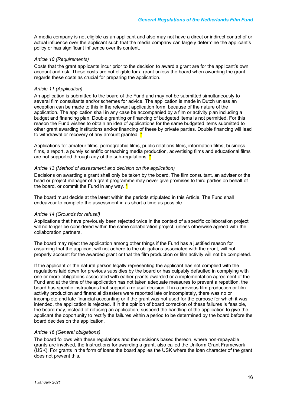A media company is not eligible as an applicant and also may not have a direct or indirect control of or actual influence over the applicant such that the media company can largely determine the applicant's policy or has significant influence over its content.

### *Article 10 (Requirements)*

Costs that the grant applicants incur prior to the decision to award a grant are for the applicant's own account and risk. These costs are not eligible for a grant unless the board when awarding the grant regards these costs as crucial for preparing the application.

### *Article 11 (Application)*

An application is submitted to the board of the Fund and may not be submitted simultaneously to several film consultants and/or schemes for advice. The application is made in Dutch unless an exception can be made to this in the relevant application form, because of the nature of the application. The application shall in any case be accompanied by a film or activity plan including a budget and financing plan. Double granting or financing of budgeted items is not permitted. For this reason the Fund wishes to obtain an idea of applications for the same budgeted items submitted to other grant awarding institutions and/or financing of these by private parties. Double financing will lead to withdrawal or recovery of any amount granted. <sup>\*</sup>

Applications for amateur films, pornographic films, public relations films, information films, business films, a report, a purely scientific or teaching media production, advertising films and educational films are not supported through any of the sub-regulations.  $*$ 

### *Article 13 (Method of assessment and decision on the application)*

Decisions on awarding a grant shall only be taken by the board. The film consultant, an adviser or the head or project manager of a grant programme may never give promises to third parties on behalf of the board, or commit the Fund in any way.  $*$ 

The board must decide at the latest within the periods stipulated in this Article. The Fund shall endeavour to complete the assessment in as short a time as possible.

### *Article 14 (Grounds for refusal)*

Applications that have previously been rejected twice in the context of a specific collaboration project will no longer be considered within the same collaboration project, unless otherwise agreed with the collaboration partners.

The board may reject the application among other things if the Fund has a justified reason for assuming that the applicant will not adhere to the obligations associated with the grant, will not properly account for the awarded grant or that the film production or film activity will not be completed.

If the applicant or the natural person legally representing the applicant has not complied with the regulations laid down for previous subsidies by the board or has culpably defaulted in complying with one or more obligations associated with earlier grants awarded or a implementation agreement of the Fund and at the time of the application has not taken adequate measures to prevent a repetition, the board has specific instructions that support a refusal decision. If in a previous film production or film activity production and financial disasters were reported late or incompletely, there was no or incomplete and late financial accounting or if the grant was not used for the purpose for which it was intended, the application is rejected. If in the opinion of board correction of these failures is feasible, the board may, instead of refusing an application, suspend the handling of the application to give the applicant the opportunity to rectify the failures within a period to be determined by the board before the board decides on the application.

### *Article 16 (General obligations)*

The board follows with these regulations and the decisions based thereon, where non-repayable grants are involved, the Instructions for awarding a grant, also called the Uniform Grant Framework (USK). For grants in the form of loans the board applies the USK where the loan character of the grant does not prevent this.